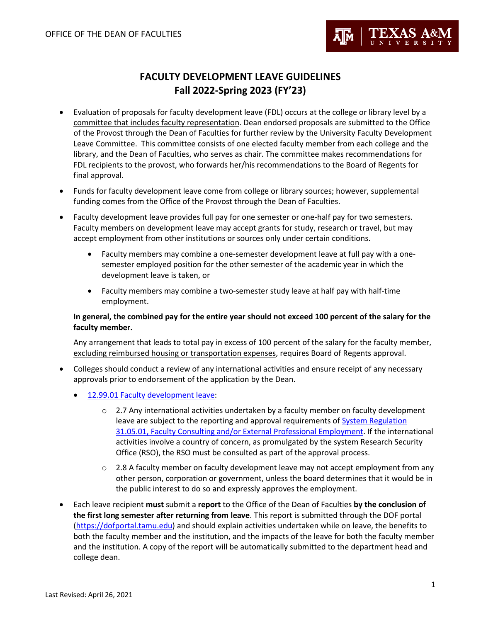

# **FACULTY DEVELOPMENT LEAVE GUIDELINES Fall 2022-Spring 2023 (FY'23)**

- Evaluation of proposals for faculty development leave (FDL) occurs at the college or library level by a committee that includes faculty representation. Dean endorsed proposals are submitted to the Office of the Provost through the Dean of Faculties for further review by the University Faculty Development Leave Committee. This committee consists of one elected faculty member from each college and the library, and the Dean of Faculties, who serves as chair. The committee makes recommendations for FDL recipients to the provost, who forwards her/his recommendations to the Board of Regents for final approval.
- Funds for faculty development leave come from college or library sources; however, supplemental funding comes from the Office of the Provost through the Dean of Faculties.
- Faculty development leave provides full pay for one semester or one-half pay for two semesters. Faculty members on development leave may accept grants for study, research or travel, but may accept employment from other institutions or sources only under certain conditions.
	- Faculty members may combine a one-semester development leave at full pay with a onesemester employed position for the other semester of the academic year in which the development leave is taken, or
	- Faculty members may combine a two-semester study leave at half pay with half-time employment.

#### **In general, the combined pay for the entire year should not exceed 100 percent of the salary for the faculty member.**

Any arrangement that leads to total pay in excess of 100 percent of the salary for the faculty member, excluding reimbursed housing or transportation expenses, requires Board of Regents approval.

- Colleges should conduct a review of any international activities and ensure receipt of any necessary approvals prior to endorsement of the application by the Dean.
	- [12.99.01 Faculty development leave:](https://policies.tamus.edu/12-99-01.pdf)
		- $\circ$  2.7 Any international activities undertaken by a faculty member on faculty development leave are subject to the reporting and approval requirements of [System Regulation](https://rulesadmin.tamu.edu/rules/download/31.05.01.M1)  [31.05.01, Faculty Consulting and/or External Professional Employment.](https://rulesadmin.tamu.edu/rules/download/31.05.01.M1) If the international activities involve a country of concern, as promulgated by the system Research Security Office (RSO), the RSO must be consulted as part of the approval process.
		- $\circ$  2.8 A faculty member on faculty development leave may not accept employment from any other person, corporation or government, unless the board determines that it would be in the public interest to do so and expressly approves the employment.
- Each leave recipient **must** submit a **report** to the Office of the Dean of Faculties **by the conclusion of the first long semester after returning from leave**. This report is submitted through the DOF portal [\(https://dofportal.tamu.edu\)](https://dofportal.tamu.edu/) and should explain activities undertaken while on leave, the benefits to both the faculty member and the institution, and the impacts of the leave for both the faculty member and the institution*.* A copy of the report will be automatically submitted to the department head and college dean.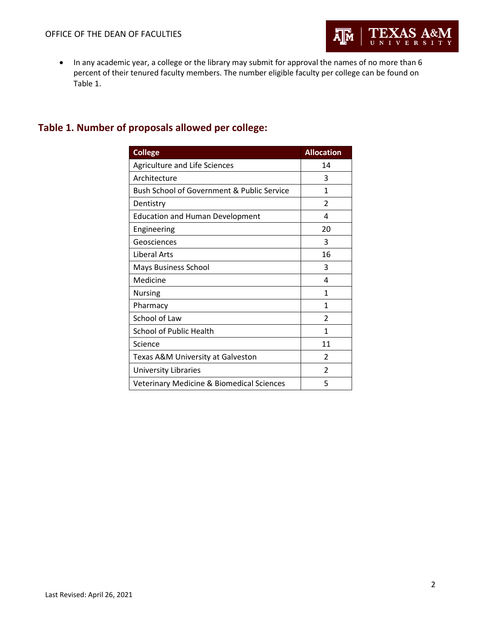

• In any academic year, a college or the library may submit for approval the names of no more than 6 percent of their tenured faculty members. The number eligible faculty per college can be found on Table 1.

# **Table 1. Number of proposals allowed per college:**

| <b>College</b>                                        | <b>Allocation</b>        |
|-------------------------------------------------------|--------------------------|
| Agriculture and Life Sciences                         | 14                       |
| Architecture                                          | 3                        |
| <b>Bush School of Government &amp; Public Service</b> | 1                        |
| Dentistry                                             | $\mathfrak{p}$           |
| <b>Education and Human Development</b>                | 4                        |
| Engineering                                           | 20                       |
| Geosciences                                           | 3                        |
| Liberal Arts                                          | 16                       |
| <b>Mays Business School</b>                           | 3                        |
| Medicine                                              | 4                        |
| <b>Nursing</b>                                        | 1                        |
| Pharmacy                                              | 1                        |
| School of Law                                         | $\overline{\mathcal{L}}$ |
| School of Public Health                               | 1                        |
| Science                                               | 11                       |
| Texas A&M University at Galveston                     | $\mathcal{P}$            |
| <b>University Libraries</b>                           | $\mathfrak{p}$           |
| <b>Veterinary Medicine &amp; Biomedical Sciences</b>  | 5                        |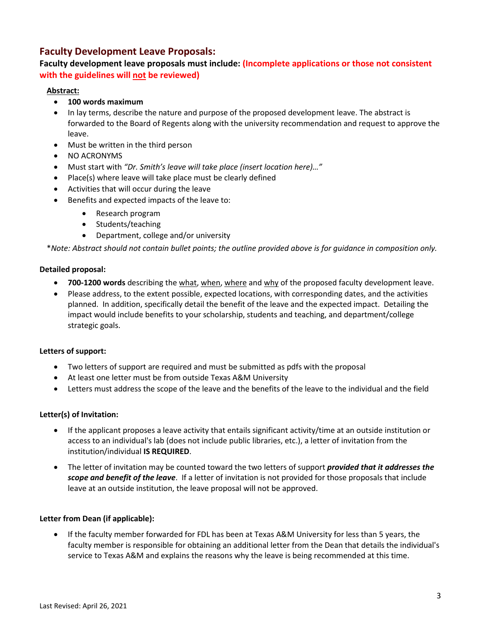### **Faculty Development Leave Proposals:**

### **Faculty development leave proposals must include: (Incomplete applications or those not consistent with the guidelines will not be reviewed)**

#### **Abstract:**

- **100 words maximum**
- In lay terms, describe the nature and purpose of the proposed development leave. The abstract is forwarded to the Board of Regents along with the university recommendation and request to approve the leave.
- Must be written in the third person
- NO ACRONYMS
- Must start with *"Dr. Smith's leave will take place (insert location here)…"*
- Place(s) where leave will take place must be clearly defined
- Activities that will occur during the leave
- Benefits and expected impacts of the leave to:
	- Research program
	- Students/teaching
	- Department, college and/or university

\**Note: Abstract should not contain bullet points; the outline provided above is for guidance in composition only.*

#### **Detailed proposal:**

- **700-1200 words** describing the what, when, where and why of the proposed faculty development leave.
- Please address, to the extent possible, expected locations, with corresponding dates, and the activities planned. In addition, specifically detail the benefit of the leave and the expected impact. Detailing the impact would include benefits to your scholarship, students and teaching, and department/college strategic goals.

#### **Letters of support:**

- Two letters of support are required and must be submitted as pdfs with the proposal
- At least one letter must be from outside Texas A&M University
- Letters must address the scope of the leave and the benefits of the leave to the individual and the field

#### **Letter(s) of Invitation:**

- If the applicant proposes a leave activity that entails significant activity/time at an outside institution or access to an individual's lab (does not include public libraries, etc.), a letter of invitation from the institution/individual **IS REQUIRED**.
- The letter of invitation may be counted toward the two letters of support *provided that it addresses the scope and benefit of the leave*. If a letter of invitation is not provided for those proposals that include leave at an outside institution, the leave proposal will not be approved.

#### **Letter from Dean (if applicable):**

• If the faculty member forwarded for FDL has been at Texas A&M University for less than 5 years, the faculty member is responsible for obtaining an additional letter from the Dean that details the individual's service to Texas A&M and explains the reasons why the leave is being recommended at this time.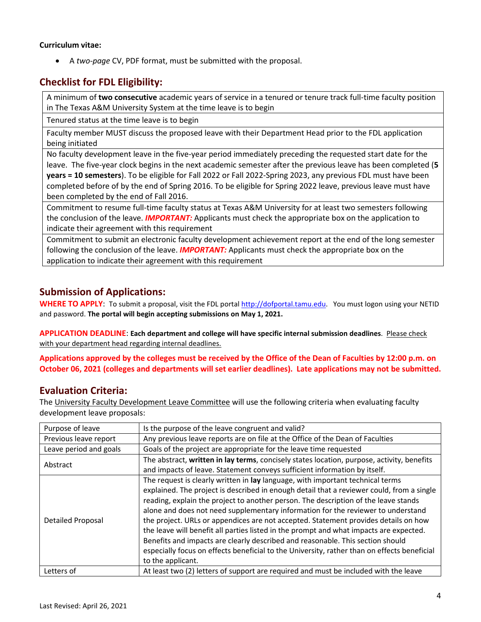#### **Curriculum vitae:**

• A *two-page* CV, PDF format, must be submitted with the proposal.

# **Checklist for FDL Eligibility:**

A minimum of **two consecutive** academic years of service in a tenured or tenure track full-time faculty position in The Texas A&M University System at the time leave is to begin

Tenured status at the time leave is to begin

Faculty member MUST discuss the proposed leave with their Department Head prior to the FDL application being initiated

No faculty development leave in the five-year period immediately preceding the requested start date for the leave. The five-year clock begins in the next academic semester after the previous leave has been completed (**5 years = 10 semesters**). To be eligible for Fall 2022 or Fall 2022-Spring 2023, any previous FDL must have been completed before of by the end of Spring 2016. To be eligible for Spring 2022 leave, previous leave must have been completed by the end of Fall 2016.

Commitment to resume full-time faculty status at Texas A&M University for at least two semesters following the conclusion of the leave. *IMPORTANT:* Applicants must check the appropriate box on the application to indicate their agreement with this requirement

Commitment to submit an electronic faculty development achievement report at the end of the long semester following the conclusion of the leave. *IMPORTANT:* Applicants must check the appropriate box on the application to indicate their agreement with this requirement

### **Submission of Applications:**

**WHERE TO APPLY**: To submit a proposal, visit the FDL porta[l http://dofportal.tamu.edu.](http://dofportal.tamu.edu/) You must logon using your NETID and password. **The portal will begin accepting submissions on May 1, 2021.**

**APPLICATION DEADLINE**: **Each department and college will have specific internal submission deadlines**. Please check with your department head regarding internal deadlines.

**Applications approved by the colleges must be received by the Office of the Dean of Faculties by 12:00 p.m. on October 06, 2021 (colleges and departments will set earlier deadlines). Late applications may not be submitted.**

### **Evaluation Criteria:**

The [University Faculty Development Leave Committee](https://dof.tamu.edu/Faculty-Resources/Faculty-Development-Leave) will use the following criteria when evaluating faculty development leave proposals:

| Purpose of leave       | Is the purpose of the leave congruent and valid?                                                                                                                                                                                                                                                                                                                                                                                                                                                                                                                                                                                                                                                                                              |
|------------------------|-----------------------------------------------------------------------------------------------------------------------------------------------------------------------------------------------------------------------------------------------------------------------------------------------------------------------------------------------------------------------------------------------------------------------------------------------------------------------------------------------------------------------------------------------------------------------------------------------------------------------------------------------------------------------------------------------------------------------------------------------|
| Previous leave report  | Any previous leave reports are on file at the Office of the Dean of Faculties                                                                                                                                                                                                                                                                                                                                                                                                                                                                                                                                                                                                                                                                 |
| Leave period and goals | Goals of the project are appropriate for the leave time requested                                                                                                                                                                                                                                                                                                                                                                                                                                                                                                                                                                                                                                                                             |
| Abstract               | The abstract, written in lay terms, concisely states location, purpose, activity, benefits<br>and impacts of leave. Statement conveys sufficient information by itself.                                                                                                                                                                                                                                                                                                                                                                                                                                                                                                                                                                       |
| Detailed Proposal      | The request is clearly written in lay language, with important technical terms<br>explained. The project is described in enough detail that a reviewer could, from a single<br>reading, explain the project to another person. The description of the leave stands<br>alone and does not need supplementary information for the reviewer to understand<br>the project. URLs or appendices are not accepted. Statement provides details on how<br>the leave will benefit all parties listed in the prompt and what impacts are expected.<br>Benefits and impacts are clearly described and reasonable. This section should<br>especially focus on effects beneficial to the University, rather than on effects beneficial<br>to the applicant. |
| Letters of             | At least two (2) letters of support are required and must be included with the leave                                                                                                                                                                                                                                                                                                                                                                                                                                                                                                                                                                                                                                                          |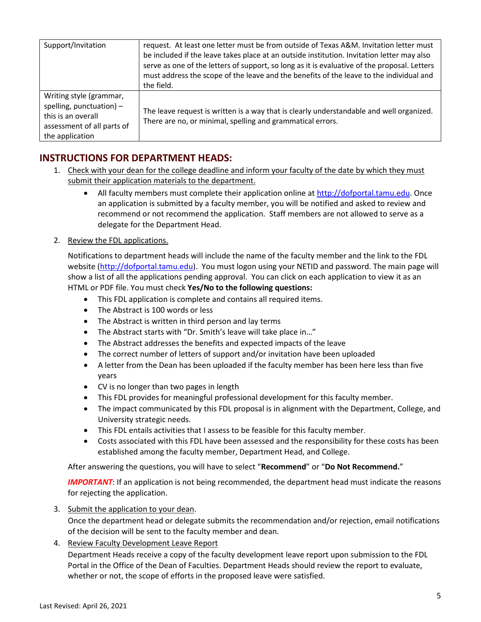| Support/Invitation                                                                                                           | request. At least one letter must be from outside of Texas A&M. Invitation letter must<br>be included if the leave takes place at an outside institution. Invitation letter may also<br>serve as one of the letters of support, so long as it is evaluative of the proposal. Letters<br>must address the scope of the leave and the benefits of the leave to the individual and<br>the field. |
|------------------------------------------------------------------------------------------------------------------------------|-----------------------------------------------------------------------------------------------------------------------------------------------------------------------------------------------------------------------------------------------------------------------------------------------------------------------------------------------------------------------------------------------|
| Writing style (grammar,<br>spelling, punctuation) $-$<br>this is an overall<br>assessment of all parts of<br>the application | The leave request is written is a way that is clearly understandable and well organized.<br>There are no, or minimal, spelling and grammatical errors.                                                                                                                                                                                                                                        |

### **INSTRUCTIONS FOR DEPARTMENT HEADS:**

- 1. Check with your dean for the college deadline and inform your faculty of the date by which they must submit their application materials to the department.
	- All faculty members must complete their application online at [http://dofportal.tamu.edu.](http://dofportal.tamu.edu/) Once an application is submitted by a faculty member, you will be notified and asked to review and recommend or not recommend the application. Staff members are not allowed to serve as a delegate for the Department Head.
- 2. Review the FDL applications.

Notifications to department heads will include the name of the faculty member and the link to the FDL website [\(http://dofportal.tamu.edu\)](http://dofportal.tamu.edu/). You must logon using your NETID and password. The main page will show a list of all the applications pending approval. You can click on each application to view it as an HTML or PDF file. You must check **Yes/No to the following questions:** 

- This FDL application is complete and contains all required items.
- The Abstract is 100 words or less
- The Abstract is written in third person and lay terms
- The Abstract starts with "Dr. Smith's leave will take place in…"
- The Abstract addresses the benefits and expected impacts of the leave
- The correct number of letters of support and/or invitation have been uploaded
- A letter from the Dean has been uploaded if the faculty member has been here less than five years
- CV is no longer than two pages in length
- This FDL provides for meaningful professional development for this faculty member.
- The impact communicated by this FDL proposal is in alignment with the Department, College, and University strategic needs.
- This FDL entails activities that I assess to be feasible for this faculty member.
- Costs associated with this FDL have been assessed and the responsibility for these costs has been established among the faculty member, Department Head, and College.

After answering the questions, you will have to select "**Recommend**" or "**Do Not Recommend.**"

**IMPORTANT:** If an application is not being recommended, the department head must indicate the reasons for rejecting the application.

3. Submit the application to your dean.

Once the department head or delegate submits the recommendation and/or rejection, email notifications of the decision will be sent to the faculty member and dean.

4. Review Faculty Development Leave Report

Department Heads receive a copy of the faculty development leave report upon submission to the FDL Portal in the Office of the Dean of Faculties. Department Heads should review the report to evaluate, whether or not, the scope of efforts in the proposed leave were satisfied.